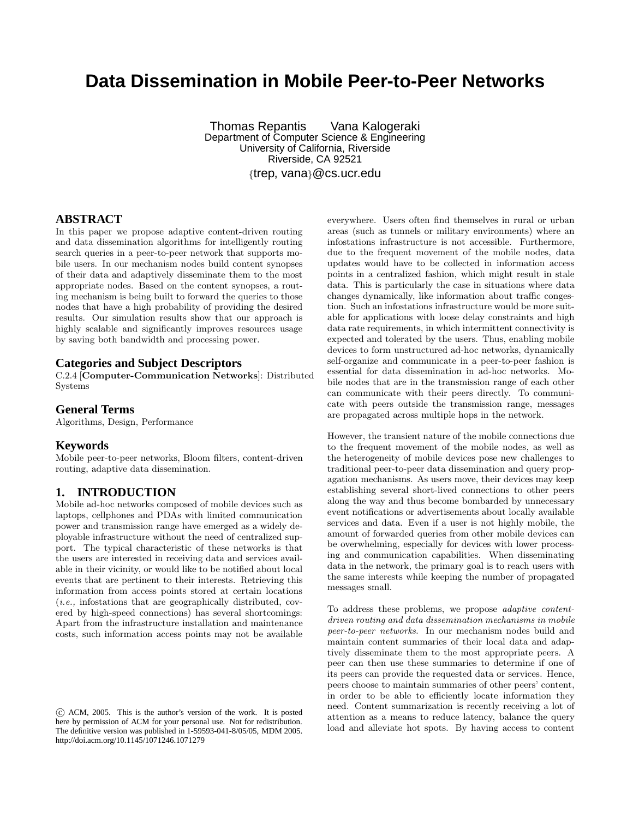# **Data Dissemination in Mobile Peer-to-Peer Networks**

Thomas Repantis Vana Kalogeraki Department of Computer Science & Engineering University of California, Riverside Riverside, CA 92521 {trep, vana}@cs.ucr.edu

#### **ABSTRACT**

In this paper we propose adaptive content-driven routing and data dissemination algorithms for intelligently routing search queries in a peer-to-peer network that supports mobile users. In our mechanism nodes build content synopses of their data and adaptively disseminate them to the most appropriate nodes. Based on the content synopses, a routing mechanism is being built to forward the queries to those nodes that have a high probability of providing the desired results. Our simulation results show that our approach is highly scalable and significantly improves resources usage by saving both bandwidth and processing power.

# **Categories and Subject Descriptors**

C.2.4 [Computer-Communication Networks]: Distributed Systems

#### **General Terms**

Algorithms, Design, Performance

#### **Keywords**

Mobile peer-to-peer networks, Bloom filters, content-driven routing, adaptive data dissemination.

### **1. INTRODUCTION**

Mobile ad-hoc networks composed of mobile devices such as laptops, cellphones and PDAs with limited communication power and transmission range have emerged as a widely deployable infrastructure without the need of centralized support. The typical characteristic of these networks is that the users are interested in receiving data and services available in their vicinity, or would like to be notified about local events that are pertinent to their interests. Retrieving this information from access points stored at certain locations (i.e., infostations that are geographically distributed, covered by high-speed connections) has several shortcomings: Apart from the infrastructure installation and maintenance costs, such information access points may not be available

everywhere. Users often find themselves in rural or urban areas (such as tunnels or military environments) where an infostations infrastructure is not accessible. Furthermore, due to the frequent movement of the mobile nodes, data updates would have to be collected in information access points in a centralized fashion, which might result in stale data. This is particularly the case in situations where data changes dynamically, like information about traffic congestion. Such an infostations infrastructure would be more suitable for applications with loose delay constraints and high data rate requirements, in which intermittent connectivity is expected and tolerated by the users. Thus, enabling mobile devices to form unstructured ad-hoc networks, dynamically self-organize and communicate in a peer-to-peer fashion is essential for data dissemination in ad-hoc networks. Mobile nodes that are in the transmission range of each other can communicate with their peers directly. To communicate with peers outside the transmission range, messages are propagated across multiple hops in the network.

However, the transient nature of the mobile connections due to the frequent movement of the mobile nodes, as well as the heterogeneity of mobile devices pose new challenges to traditional peer-to-peer data dissemination and query propagation mechanisms. As users move, their devices may keep establishing several short-lived connections to other peers along the way and thus become bombarded by unnecessary event notifications or advertisements about locally available services and data. Even if a user is not highly mobile, the amount of forwarded queries from other mobile devices can be overwhelming, especially for devices with lower processing and communication capabilities. When disseminating data in the network, the primary goal is to reach users with the same interests while keeping the number of propagated messages small.

To address these problems, we propose adaptive contentdriven routing and data dissemination mechanisms in mobile peer-to-peer networks. In our mechanism nodes build and maintain content summaries of their local data and adaptively disseminate them to the most appropriate peers. A peer can then use these summaries to determine if one of its peers can provide the requested data or services. Hence, peers choose to maintain summaries of other peers' content, in order to be able to efficiently locate information they need. Content summarization is recently receiving a lot of attention as a means to reduce latency, balance the query load and alleviate hot spots. By having access to content

c ACM, 2005. This is the author's version of the work. It is posted here by permission of ACM for your personal use. Not for redistribution. The definitive version was published in 1-59593-041-8/05/05, MDM 2005. http://doi.acm.org/10.1145/1071246.1071279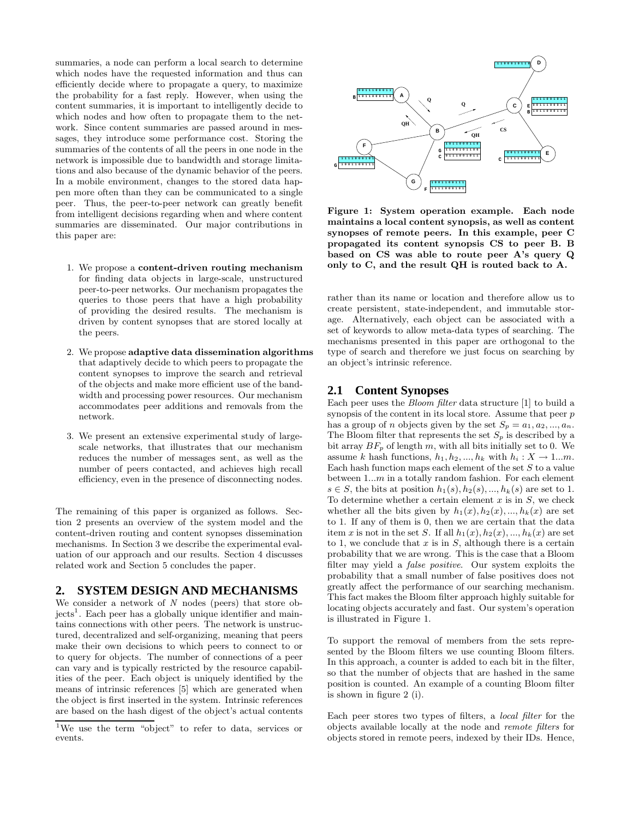summaries, a node can perform a local search to determine which nodes have the requested information and thus can efficiently decide where to propagate a query, to maximize the probability for a fast reply. However, when using the content summaries, it is important to intelligently decide to which nodes and how often to propagate them to the network. Since content summaries are passed around in messages, they introduce some performance cost. Storing the summaries of the contents of all the peers in one node in the network is impossible due to bandwidth and storage limitations and also because of the dynamic behavior of the peers. In a mobile environment, changes to the stored data happen more often than they can be communicated to a single peer. Thus, the peer-to-peer network can greatly benefit from intelligent decisions regarding when and where content summaries are disseminated. Our major contributions in this paper are:

- 1. We propose a content-driven routing mechanism for finding data objects in large-scale, unstructured peer-to-peer networks. Our mechanism propagates the queries to those peers that have a high probability of providing the desired results. The mechanism is driven by content synopses that are stored locally at the peers.
- 2. We propose adaptive data dissemination algorithms that adaptively decide to which peers to propagate the content synopses to improve the search and retrieval of the objects and make more efficient use of the bandwidth and processing power resources. Our mechanism accommodates peer additions and removals from the network.
- 3. We present an extensive experimental study of largescale networks, that illustrates that our mechanism reduces the number of messages sent, as well as the number of peers contacted, and achieves high recall efficiency, even in the presence of disconnecting nodes.

The remaining of this paper is organized as follows. Section 2 presents an overview of the system model and the content-driven routing and content synopses dissemination mechanisms. In Section 3 we describe the experimental evaluation of our approach and our results. Section 4 discusses related work and Section 5 concludes the paper.

# **2. SYSTEM DESIGN AND MECHANISMS**

We consider a network of  $N$  nodes (peers) that store objects<sup>1</sup>. Each peer has a globally unique identifier and maintains connections with other peers. The network is unstructured, decentralized and self-organizing, meaning that peers make their own decisions to which peers to connect to or to query for objects. The number of connections of a peer can vary and is typically restricted by the resource capabilities of the peer. Each object is uniquely identified by the means of intrinsic references [5] which are generated when the object is first inserted in the system. Intrinsic references are based on the hash digest of the object's actual contents



Figure 1: System operation example. Each node maintains a local content synopsis, as well as content synopses of remote peers. In this example, peer C propagated its content synopsis CS to peer B. B based on CS was able to route peer A's query Q only to C, and the result QH is routed back to A.

rather than its name or location and therefore allow us to create persistent, state-independent, and immutable storage. Alternatively, each object can be associated with a set of keywords to allow meta-data types of searching. The mechanisms presented in this paper are orthogonal to the type of search and therefore we just focus on searching by an object's intrinsic reference.

# **2.1 Content Synopses**

Each peer uses the Bloom filter data structure [1] to build a synopsis of the content in its local store. Assume that peer  $p$ has a group of *n* objects given by the set  $S_p = a_1, a_2, ..., a_n$ . The Bloom filter that represents the set  $S_p$  is described by a bit array  $BF_p$  of length m, with all bits initially set to 0. We assume k hash functions,  $h_1, h_2, ..., h_k$  with  $h_i : X \to 1...m$ . Each hash function maps each element of the set  $S$  to a value between 1...m in a totally random fashion. For each element  $s \in S$ , the bits at position  $h_1(s), h_2(s), ..., h_k(s)$  are set to 1. To determine whether a certain element  $x$  is in  $S$ , we check whether all the bits given by  $h_1(x), h_2(x), ..., h_k(x)$  are set to 1. If any of them is 0, then we are certain that the data item x is not in the set S. If all  $h_1(x), h_2(x), ..., h_k(x)$  are set to 1, we conclude that  $x$  is in  $S$ , although there is a certain probability that we are wrong. This is the case that a Bloom filter may yield a false positive. Our system exploits the probability that a small number of false positives does not greatly affect the performance of our searching mechanism. This fact makes the Bloom filter approach highly suitable for locating objects accurately and fast. Our system's operation is illustrated in Figure 1.

To support the removal of members from the sets represented by the Bloom filters we use counting Bloom filters. In this approach, a counter is added to each bit in the filter, so that the number of objects that are hashed in the same position is counted. An example of a counting Bloom filter is shown in figure 2 (i).

Each peer stores two types of filters, a local filter for the objects available locally at the node and remote filters for objects stored in remote peers, indexed by their IDs. Hence,

<sup>1</sup>We use the term "object" to refer to data, services or events.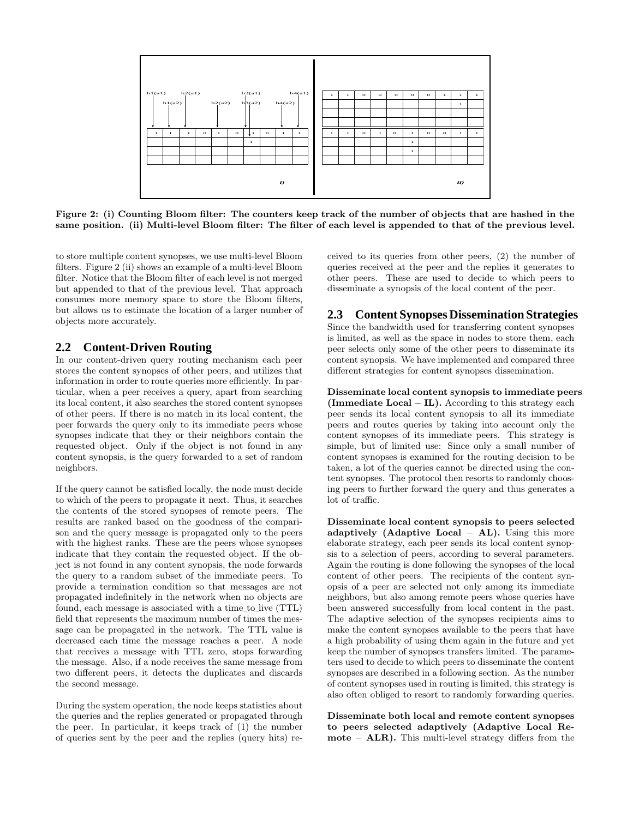

Figure 2: (i) Counting Bloom filter: The counters keep track of the number of objects that are hashed in the same position. (ii) Multi-level Bloom filter: The filter of each level is appended to that of the previous level.

to store multiple content synopses, we use multi-level Bloom filters. Figure 2 (ii) shows an example of a multi-level Bloom filter. Notice that the Bloom filter of each level is not merged but appended to that of the previous level. That approach consumes more memory space to store the Bloom filters, but allows us to estimate the location of a larger number of objects more accurately.

# **2.2 Content-Driven Routing**

In our content-driven query routing mechanism each peer stores the content synopses of other peers, and utilizes that information in order to route queries more efficiently. In particular, when a peer receives a query, apart from searching its local content, it also searches the stored content synopses of other peers. If there is no match in its local content, the peer forwards the query only to its immediate peers whose synopses indicate that they or their neighbors contain the requested object. Only if the object is not found in any content synopsis, is the query forwarded to a set of random neighbors.

If the query cannot be satisfied locally, the node must decide to which of the peers to propagate it next. Thus, it searches the contents of the stored synopses of remote peers. The results are ranked based on the goodness of the comparison and the query message is propagated only to the peers with the highest ranks. These are the peers whose synopses indicate that they contain the requested object. If the object is not found in any content synopsis, the node forwards the query to a random subset of the immediate peers. To provide a termination condition so that messages are not propagated indefinitely in the network when no objects are found, each message is associated with a time to live (TTL) field that represents the maximum number of times the message can be propagated in the network. The TTL value is decreased each time the message reaches a peer. A node that receives a message with TTL zero, stops forwarding the message. Also, if a node receives the same message from two different peers, it detects the duplicates and discards the second message.

During the system operation, the node keeps statistics about the queries and the replies generated or propagated through the peer. In particular, it keeps track of (1) the number of queries sent by the peer and the replies (query hits) received to its queries from other peers, (2) the number of queries received at the peer and the replies it generates to other peers. These are used to decide to which peers to disseminate a synopsis of the local content of the peer.

# **2.3 Content Synopses Dissemination Strategies**

Since the bandwidth used for transferring content synopses is limited, as well as the space in nodes to store them, each peer selects only some of the other peers to disseminate its content synopsis. We have implemented and compared three different strategies for content synopses dissemination.

Disseminate local content synopsis to immediate peers (Immediate Local – IL). According to this strategy each peer sends its local content synopsis to all its immediate peers and routes queries by taking into account only the content synopses of its immediate peers. This strategy is simple, but of limited use: Since only a small number of content synopses is examined for the routing decision to be taken, a lot of the queries cannot be directed using the content synopses. The protocol then resorts to randomly choosing peers to further forward the query and thus generates a lot of traffic.

Disseminate local content synopsis to peers selected adaptively (Adaptive Local –  $AL$ ). Using this more elaborate strategy, each peer sends its local content synopsis to a selection of peers, according to several parameters. Again the routing is done following the synopses of the local content of other peers. The recipients of the content synopsis of a peer are selected not only among its immediate neighbors, but also among remote peers whose queries have been answered successfully from local content in the past. The adaptive selection of the synopses recipients aims to make the content synopses available to the peers that have a high probability of using them again in the future and yet keep the number of synopses transfers limited. The parameters used to decide to which peers to disseminate the content synopses are described in a following section. As the number of content synopses used in routing is limited, this strategy is also often obliged to resort to randomly forwarding queries.

Disseminate both local and remote content synopses to peers selected adaptively (Adaptive Local Re- $\bf{note} - \bf{ALR}$ . This multi-level strategy differs from the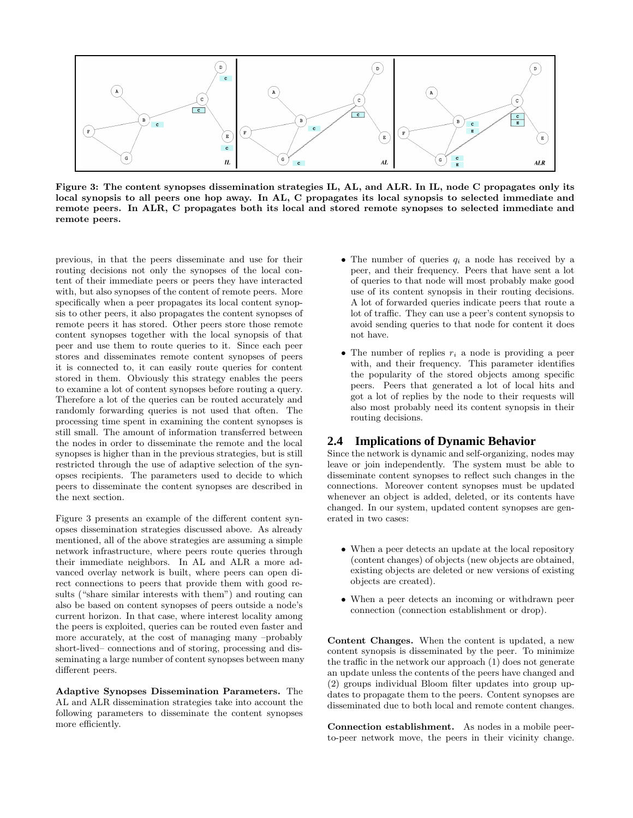

Figure 3: The content synopses dissemination strategies IL, AL, and ALR. In IL, node C propagates only its local synopsis to all peers one hop away. In AL, C propagates its local synopsis to selected immediate and remote peers. In ALR, C propagates both its local and stored remote synopses to selected immediate and remote peers.

previous, in that the peers disseminate and use for their routing decisions not only the synopses of the local content of their immediate peers or peers they have interacted with, but also synopses of the content of remote peers. More specifically when a peer propagates its local content synopsis to other peers, it also propagates the content synopses of remote peers it has stored. Other peers store those remote content synopses together with the local synopsis of that peer and use them to route queries to it. Since each peer stores and disseminates remote content synopses of peers it is connected to, it can easily route queries for content stored in them. Obviously this strategy enables the peers to examine a lot of content synopses before routing a query. Therefore a lot of the queries can be routed accurately and randomly forwarding queries is not used that often. The processing time spent in examining the content synopses is still small. The amount of information transferred between the nodes in order to disseminate the remote and the local synopses is higher than in the previous strategies, but is still restricted through the use of adaptive selection of the synopses recipients. The parameters used to decide to which peers to disseminate the content synopses are described in the next section.

Figure 3 presents an example of the different content synopses dissemination strategies discussed above. As already mentioned, all of the above strategies are assuming a simple network infrastructure, where peers route queries through their immediate neighbors. In AL and ALR a more advanced overlay network is built, where peers can open direct connections to peers that provide them with good results ("share similar interests with them") and routing can also be based on content synopses of peers outside a node's current horizon. In that case, where interest locality among the peers is exploited, queries can be routed even faster and more accurately, at the cost of managing many –probably short-lived– connections and of storing, processing and disseminating a large number of content synopses between many different peers.

Adaptive Synopses Dissemination Parameters. The AL and ALR dissemination strategies take into account the following parameters to disseminate the content synopses more efficiently.

- The number of queries  $q_i$  a node has received by a peer, and their frequency. Peers that have sent a lot of queries to that node will most probably make good use of its content synopsis in their routing decisions. A lot of forwarded queries indicate peers that route a lot of traffic. They can use a peer's content synopsis to avoid sending queries to that node for content it does not have.
- The number of replies  $r_i$  a node is providing a peer with, and their frequency. This parameter identifies the popularity of the stored objects among specific peers. Peers that generated a lot of local hits and got a lot of replies by the node to their requests will also most probably need its content synopsis in their routing decisions.

#### **2.4 Implications of Dynamic Behavior**

Since the network is dynamic and self-organizing, nodes may leave or join independently. The system must be able to disseminate content synopses to reflect such changes in the connections. Moreover content synopses must be updated whenever an object is added, deleted, or its contents have changed. In our system, updated content synopses are generated in two cases:

- When a peer detects an update at the local repository (content changes) of objects (new objects are obtained, existing objects are deleted or new versions of existing objects are created).
- When a peer detects an incoming or withdrawn peer connection (connection establishment or drop).

Content Changes. When the content is updated, a new content synopsis is disseminated by the peer. To minimize the traffic in the network our approach (1) does not generate an update unless the contents of the peers have changed and (2) groups individual Bloom filter updates into group updates to propagate them to the peers. Content synopses are disseminated due to both local and remote content changes.

Connection establishment. As nodes in a mobile peerto-peer network move, the peers in their vicinity change.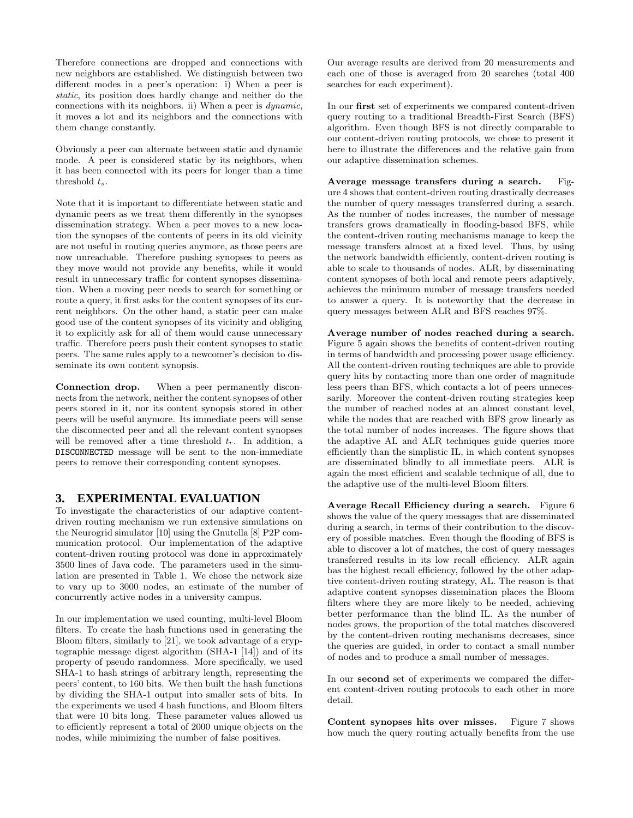Therefore connections are dropped and connections with new neighbors are established. We distinguish between two different modes in a peer's operation: i) When a peer is static, its position does hardly change and neither do the connections with its neighbors. ii) When a peer is dynamic, it moves a lot and its neighbors and the connections with them change constantly.

Obviously a peer can alternate between static and dynamic mode. A peer is considered static by its neighbors, when it has been connected with its peers for longer than a time threshold  $t_s$ .

Note that it is important to differentiate between static and dynamic peers as we treat them differently in the synopses dissemination strategy. When a peer moves to a new location the synopses of the contents of peers in its old vicinity are not useful in routing queries anymore, as those peers are now unreachable. Therefore pushing synopses to peers as they move would not provide any benefits, while it would result in unnecessary traffic for content synopses dissemination. When a moving peer needs to search for something or route a query, it first asks for the content synopses of its current neighbors. On the other hand, a static peer can make good use of the content synopses of its vicinity and obliging it to explicitly ask for all of them would cause unnecessary traffic. Therefore peers push their content synopses to static peers. The same rules apply to a newcomer's decision to disseminate its own content synopsis.

Connection drop. When a peer permanently disconnects from the network, neither the content synopses of other peers stored in it, nor its content synopsis stored in other peers will be useful anymore. Its immediate peers will sense the disconnected peer and all the relevant content synopses will be removed after a time threshold  $t_r$ . In addition, a DISCONNECTED message will be sent to the non-immediate peers to remove their corresponding content synopses.

#### **3. EXPERIMENTAL EVALUATION**

To investigate the characteristics of our adaptive contentdriven routing mechanism we run extensive simulations on the Neurogrid simulator [10] using the Gnutella [8] P2P communication protocol. Our implementation of the adaptive content-driven routing protocol was done in approximately 3500 lines of Java code. The parameters used in the simulation are presented in Table 1. We chose the network size to vary up to 3000 nodes, an estimate of the number of concurrently active nodes in a university campus.

In our implementation we used counting, multi-level Bloom filters. To create the hash functions used in generating the Bloom filters, similarly to [21], we took advantage of a cryptographic message digest algorithm (SHA-1 [14]) and of its property of pseudo randomness. More specifically, we used SHA-1 to hash strings of arbitrary length, representing the peers' content, to 160 bits. We then built the hash functions by dividing the SHA-1 output into smaller sets of bits. In the experiments we used 4 hash functions, and Bloom filters that were 10 bits long. These parameter values allowed us to efficiently represent a total of 2000 unique objects on the nodes, while minimizing the number of false positives.

Our average results are derived from 20 measurements and each one of those is averaged from 20 searches (total 400 searches for each experiment).

In our first set of experiments we compared content-driven query routing to a traditional Breadth-First Search (BFS) algorithm. Even though BFS is not directly comparable to our content-driven routing protocols, we chose to present it here to illustrate the differences and the relative gain from our adaptive dissemination schemes.

Average message transfers during a search. Figure 4 shows that content-driven routing drastically decreases the number of query messages transferred during a search. As the number of nodes increases, the number of message transfers grows dramatically in flooding-based BFS, while the content-driven routing mechanisms manage to keep the message transfers almost at a fixed level. Thus, by using the network bandwidth efficiently, content-driven routing is able to scale to thousands of nodes. ALR, by disseminating content synopses of both local and remote peers adaptively, achieves the minimum number of message transfers needed to answer a query. It is noteworthy that the decrease in query messages between ALR and BFS reaches 97%.

Average number of nodes reached during a search. Figure 5 again shows the benefits of content-driven routing in terms of bandwidth and processing power usage efficiency. All the content-driven routing techniques are able to provide query hits by contacting more than one order of magnitude less peers than BFS, which contacts a lot of peers unnecessarily. Moreover the content-driven routing strategies keep the number of reached nodes at an almost constant level, while the nodes that are reached with BFS grow linearly as the total number of nodes increases. The figure shows that the adaptive AL and ALR techniques guide queries more efficiently than the simplistic IL, in which content synopses are disseminated blindly to all immediate peers. ALR is again the most efficient and scalable technique of all, due to the adaptive use of the multi-level Bloom filters.

Average Recall Efficiency during a search. Figure 6 shows the value of the query messages that are disseminated during a search, in terms of their contribution to the discovery of possible matches. Even though the flooding of BFS is able to discover a lot of matches, the cost of query messages transferred results in its low recall efficiency. ALR again has the highest recall efficiency, followed by the other adaptive content-driven routing strategy, AL. The reason is that adaptive content synopses dissemination places the Bloom filters where they are more likely to be needed, achieving better performance than the blind IL. As the number of nodes grows, the proportion of the total matches discovered by the content-driven routing mechanisms decreases, since the queries are guided, in order to contact a small number of nodes and to produce a small number of messages.

In our second set of experiments we compared the different content-driven routing protocols to each other in more detail.

Content synopses hits over misses. Figure 7 shows how much the query routing actually benefits from the use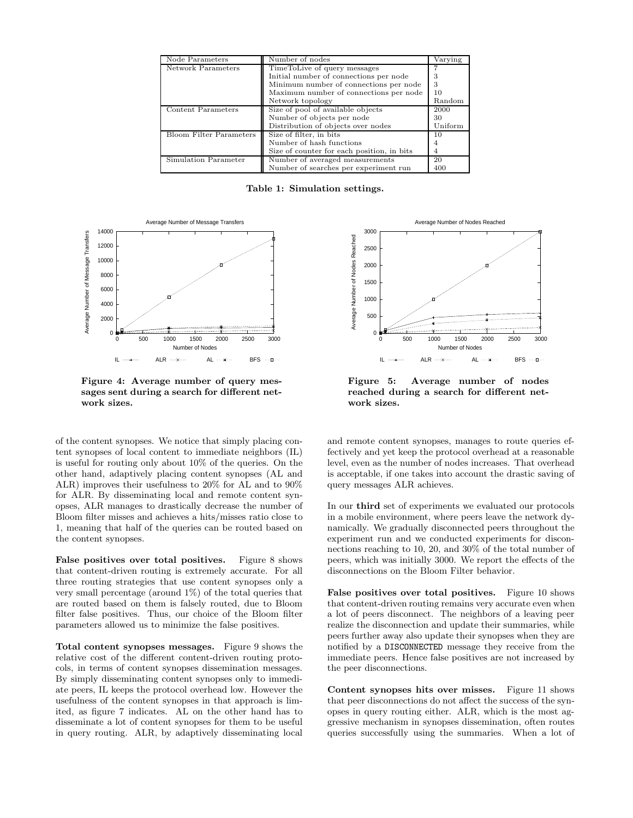| Node Parameters                | Number of nodes                            | Varving |
|--------------------------------|--------------------------------------------|---------|
| Network Parameters             | TimeToLive of query messages               |         |
|                                | Initial number of connections per node     |         |
|                                | Minimum number of connections per node     | 3       |
|                                | Maximum number of connections per node     | 10      |
|                                | Network topology                           | Random  |
| Content Parameters             | Size of pool of available objects          | 2000    |
|                                | Number of objects per node                 | 30      |
|                                | Distribution of objects over nodes         | Uniform |
| <b>Bloom Filter Parameters</b> | Size of filter, in bits                    | 10      |
|                                | Number of hash functions                   | 4       |
|                                | Size of counter for each position, in bits | 4       |
| Simulation Parameter           | Number of averaged measurements            | 20      |
|                                | Number of searches per experiment run      | 400     |

Table 1: Simulation settings.



Figure 4: Average number of query messages sent during a search for different network sizes.

of the content synopses. We notice that simply placing content synopses of local content to immediate neighbors (IL) is useful for routing only about 10% of the queries. On the other hand, adaptively placing content synopses (AL and ALR) improves their usefulness to 20% for AL and to 90% for ALR. By disseminating local and remote content synopses, ALR manages to drastically decrease the number of Bloom filter misses and achieves a hits/misses ratio close to 1, meaning that half of the queries can be routed based on the content synopses.

False positives over total positives. Figure 8 shows that content-driven routing is extremely accurate. For all three routing strategies that use content synopses only a very small percentage (around 1%) of the total queries that are routed based on them is falsely routed, due to Bloom filter false positives. Thus, our choice of the Bloom filter parameters allowed us to minimize the false positives.

Total content synopses messages. Figure 9 shows the relative cost of the different content-driven routing protocols, in terms of content synopses dissemination messages. By simply disseminating content synopses only to immediate peers, IL keeps the protocol overhead low. However the usefulness of the content synopses in that approach is limited, as figure 7 indicates. AL on the other hand has to disseminate a lot of content synopses for them to be useful in query routing. ALR, by adaptively disseminating local



Figure 5: Average number of nodes reached during a search for different network sizes.

and remote content synopses, manages to route queries effectively and yet keep the protocol overhead at a reasonable level, even as the number of nodes increases. That overhead is acceptable, if one takes into account the drastic saving of query messages ALR achieves.

In our third set of experiments we evaluated our protocols in a mobile environment, where peers leave the network dynamically. We gradually disconnected peers throughout the experiment run and we conducted experiments for disconnections reaching to 10, 20, and 30% of the total number of peers, which was initially 3000. We report the effects of the disconnections on the Bloom Filter behavior.

False positives over total positives. Figure 10 shows that content-driven routing remains very accurate even when a lot of peers disconnect. The neighbors of a leaving peer realize the disconnection and update their summaries, while peers further away also update their synopses when they are notified by a DISCONNECTED message they receive from the immediate peers. Hence false positives are not increased by the peer disconnections.

Content synopses hits over misses. Figure 11 shows that peer disconnections do not affect the success of the synopses in query routing either. ALR, which is the most aggressive mechanism in synopses dissemination, often routes queries successfully using the summaries. When a lot of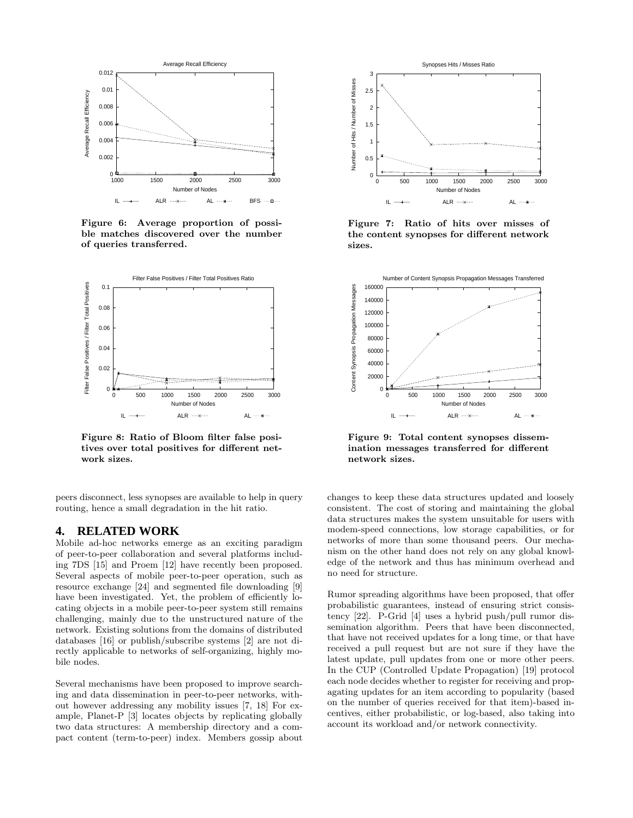

Figure 6: Average proportion of possible matches discovered over the number of queries transferred.



Figure 8: Ratio of Bloom filter false positives over total positives for different network sizes.

peers disconnect, less synopses are available to help in query routing, hence a small degradation in the hit ratio.

# **4. RELATED WORK**

Mobile ad-hoc networks emerge as an exciting paradigm of peer-to-peer collaboration and several platforms including 7DS [15] and Proem [12] have recently been proposed. Several aspects of mobile peer-to-peer operation, such as resource exchange [24] and segmented file downloading [9] have been investigated. Yet, the problem of efficiently locating objects in a mobile peer-to-peer system still remains challenging, mainly due to the unstructured nature of the network. Existing solutions from the domains of distributed databases [16] or publish/subscribe systems [2] are not directly applicable to networks of self-organizing, highly mobile nodes.

Several mechanisms have been proposed to improve searching and data dissemination in peer-to-peer networks, without however addressing any mobility issues [7, 18] For example, Planet-P [3] locates objects by replicating globally two data structures: A membership directory and a compact content (term-to-peer) index. Members gossip about



Figure 7: Ratio of hits over misses of the content synopses for different network sizes.



Figure 9: Total content synopses dissemination messages transferred for different network sizes.

changes to keep these data structures updated and loosely consistent. The cost of storing and maintaining the global data structures makes the system unsuitable for users with modem-speed connections, low storage capabilities, or for networks of more than some thousand peers. Our mechanism on the other hand does not rely on any global knowledge of the network and thus has minimum overhead and no need for structure.

Rumor spreading algorithms have been proposed, that offer probabilistic guarantees, instead of ensuring strict consistency [22]. P-Grid [4] uses a hybrid push/pull rumor dissemination algorithm. Peers that have been disconnected, that have not received updates for a long time, or that have received a pull request but are not sure if they have the latest update, pull updates from one or more other peers. In the CUP (Controlled Update Propagation) [19] protocol each node decides whether to register for receiving and propagating updates for an item according to popularity (based on the number of queries received for that item)-based incentives, either probabilistic, or log-based, also taking into account its workload and/or network connectivity.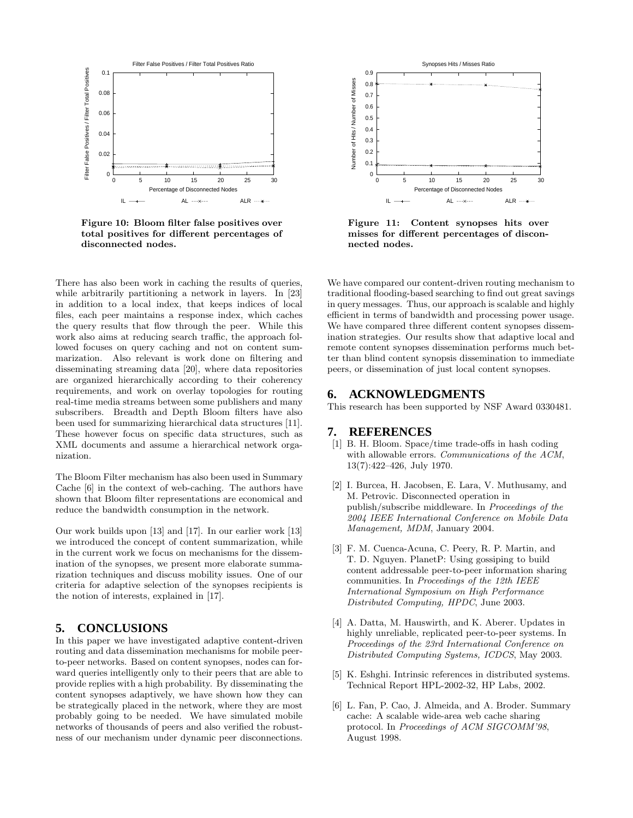

Figure 10: Bloom filter false positives over total positives for different percentages of disconnected nodes.

There has also been work in caching the results of queries, while arbitrarily partitioning a network in layers. In [23] in addition to a local index, that keeps indices of local files, each peer maintains a response index, which caches the query results that flow through the peer. While this work also aims at reducing search traffic, the approach followed focuses on query caching and not on content summarization. Also relevant is work done on filtering and disseminating streaming data [20], where data repositories are organized hierarchically according to their coherency requirements, and work on overlay topologies for routing real-time media streams between some publishers and many subscribers. Breadth and Depth Bloom filters have also been used for summarizing hierarchical data structures [11]. These however focus on specific data structures, such as XML documents and assume a hierarchical network organization.

The Bloom Filter mechanism has also been used in Summary Cache [6] in the context of web-caching. The authors have shown that Bloom filter representations are economical and reduce the bandwidth consumption in the network.

Our work builds upon [13] and [17]. In our earlier work [13] we introduced the concept of content summarization, while in the current work we focus on mechanisms for the dissemination of the synopses, we present more elaborate summarization techniques and discuss mobility issues. One of our criteria for adaptive selection of the synopses recipients is the notion of interests, explained in [17].

# **5. CONCLUSIONS**

In this paper we have investigated adaptive content-driven routing and data dissemination mechanisms for mobile peerto-peer networks. Based on content synopses, nodes can forward queries intelligently only to their peers that are able to provide replies with a high probability. By disseminating the content synopses adaptively, we have shown how they can be strategically placed in the network, where they are most probably going to be needed. We have simulated mobile networks of thousands of peers and also verified the robustness of our mechanism under dynamic peer disconnections.



Figure 11: Content synopses hits over misses for different percentages of disconnected nodes.

We have compared our content-driven routing mechanism to traditional flooding-based searching to find out great savings in query messages. Thus, our approach is scalable and highly efficient in terms of bandwidth and processing power usage. We have compared three different content synopses dissemination strategies. Our results show that adaptive local and remote content synopses dissemination performs much better than blind content synopsis dissemination to immediate peers, or dissemination of just local content synopses.

#### **6. ACKNOWLEDGMENTS**

This research has been supported by NSF Award 0330481.

### **7. REFERENCES**

- [1] B. H. Bloom. Space/time trade-offs in hash coding with allowable errors. Communications of the ACM, 13(7):422–426, July 1970.
- [2] I. Burcea, H. Jacobsen, E. Lara, V. Muthusamy, and M. Petrovic. Disconnected operation in publish/subscribe middleware. In Proceedings of the 2004 IEEE International Conference on Mobile Data Management, MDM, January 2004.
- [3] F. M. Cuenca-Acuna, C. Peery, R. P. Martin, and T. D. Nguyen. PlanetP: Using gossiping to build content addressable peer-to-peer information sharing communities. In Proceedings of the 12th IEEE International Symposium on High Performance Distributed Computing, HPDC, June 2003.
- [4] A. Datta, M. Hauswirth, and K. Aberer. Updates in highly unreliable, replicated peer-to-peer systems. In Proceedings of the 23rd International Conference on Distributed Computing Systems, ICDCS, May 2003.
- [5] K. Eshghi. Intrinsic references in distributed systems. Technical Report HPL-2002-32, HP Labs, 2002.
- [6] L. Fan, P. Cao, J. Almeida, and A. Broder. Summary cache: A scalable wide-area web cache sharing protocol. In Proceedings of ACM SIGCOMM'98, August 1998.